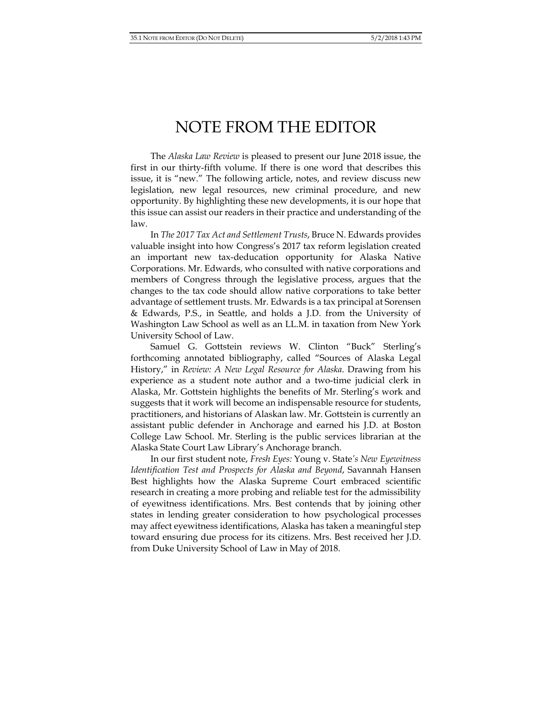## NOTE FROM THE EDITOR

The *Alaska Law Review* is pleased to present our June 2018 issue, the first in our thirty-fifth volume. If there is one word that describes this issue, it is "new." The following article, notes, and review discuss new legislation, new legal resources, new criminal procedure, and new opportunity. By highlighting these new developments, it is our hope that this issue can assist our readers in their practice and understanding of the law.

 In *The 2017 Tax Act and Settlement Trusts*, Bruce N. Edwards provides valuable insight into how Congress's 2017 tax reform legislation created an important new tax-deducation opportunity for Alaska Native Corporations. Mr. Edwards, who consulted with native corporations and members of Congress through the legislative process, argues that the changes to the tax code should allow native corporations to take better advantage of settlement trusts. Mr. Edwards is a tax principal at Sorensen & Edwards, P.S., in Seattle, and holds a J.D. from the University of Washington Law School as well as an LL.M. in taxation from New York University School of Law.

 Samuel G. Gottstein reviews W. Clinton "Buck" Sterling's forthcoming annotated bibliography, called "Sources of Alaska Legal History," in *Review: A New Legal Resource for Alaska*. Drawing from his experience as a student note author and a two-time judicial clerk in Alaska, Mr. Gottstein highlights the benefits of Mr. Sterling's work and suggests that it work will become an indispensable resource for students, practitioners, and historians of Alaskan law. Mr. Gottstein is currently an assistant public defender in Anchorage and earned his J.D. at Boston College Law School. Mr. Sterling is the public services librarian at the Alaska State Court Law Library's Anchorage branch.

In our first student note, *Fresh Eyes:* Young v. State*'s New Eyewitness Identification Test and Prospects for Alaska and Beyond*, Savannah Hansen Best highlights how the Alaska Supreme Court embraced scientific research in creating a more probing and reliable test for the admissibility of eyewitness identifications. Mrs. Best contends that by joining other states in lending greater consideration to how psychological processes may affect eyewitness identifications, Alaska has taken a meaningful step toward ensuring due process for its citizens. Mrs. Best received her J.D. from Duke University School of Law in May of 2018.